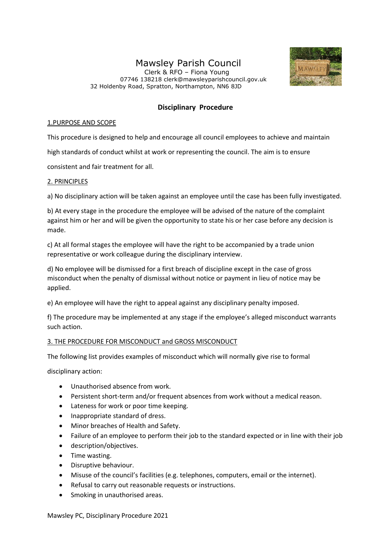# Mawsley Parish Council

 Clerk & RFO – Fiona Young 07746 138218 clerk@mawsleyparishcouncil.gov.uk 32 Holdenby Road, Spratton, Northampton, NN6 8JD



## **Disciplinary Procedure**

### 1.PURPOSE AND SCOPE

This procedure is designed to help and encourage all council employees to achieve and maintain

high standards of conduct whilst at work or representing the council. The aim is to ensure

consistent and fair treatment for all.

## 2. PRINCIPLES

a) No disciplinary action will be taken against an employee until the case has been fully investigated.

b) At every stage in the procedure the employee will be advised of the nature of the complaint against him or her and will be given the opportunity to state his or her case before any decision is made.

c) At all formal stages the employee will have the right to be accompanied by a trade union representative or work colleague during the disciplinary interview.

d) No employee will be dismissed for a first breach of discipline except in the case of gross misconduct when the penalty of dismissal without notice or payment in lieu of notice may be applied.

e) An employee will have the right to appeal against any disciplinary penalty imposed.

f) The procedure may be implemented at any stage if the employee's alleged misconduct warrants such action.

## 3. THE PROCEDURE FOR MISCONDUCT and GROSS MISCONDUCT

The following list provides examples of misconduct which will normally give rise to formal

disciplinary action:

- Unauthorised absence from work.
- Persistent short-term and/or frequent absences from work without a medical reason.
- Lateness for work or poor time keeping.
- Inappropriate standard of dress.
- Minor breaches of Health and Safety.
- Failure of an employee to perform their job to the standard expected or in line with their job
- description/objectives.
- Time wasting.
- Disruptive behaviour.
- Misuse of the council's facilities (e.g. telephones, computers, email or the internet).
- Refusal to carry out reasonable requests or instructions.
- Smoking in unauthorised areas.

Mawsley PC, Disciplinary Procedure 2021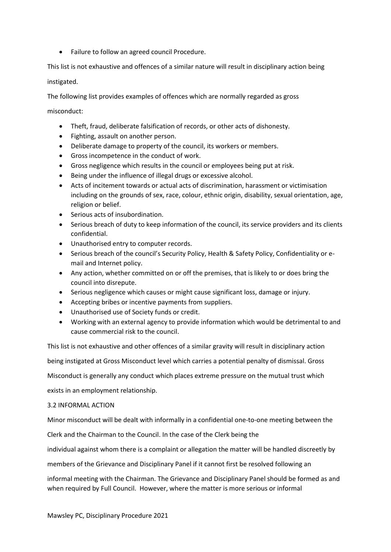• Failure to follow an agreed council Procedure.

This list is not exhaustive and offences of a similar nature will result in disciplinary action being

instigated.

The following list provides examples of offences which are normally regarded as gross

misconduct:

- Theft, fraud, deliberate falsification of records, or other acts of dishonesty.
- Fighting, assault on another person.
- Deliberate damage to property of the council, its workers or members.
- Gross incompetence in the conduct of work.
- Gross negligence which results in the council or employees being put at risk.
- Being under the influence of illegal drugs or excessive alcohol.
- Acts of incitement towards or actual acts of discrimination, harassment or victimisation including on the grounds of sex, race, colour, ethnic origin, disability, sexual orientation, age, religion or belief.
- Serious acts of insubordination.
- Serious breach of duty to keep information of the council, its service providers and its clients confidential.
- Unauthorised entry to computer records.
- Serious breach of the council's Security Policy, Health & Safety Policy, Confidentiality or email and Internet policy.
- Any action, whether committed on or off the premises, that is likely to or does bring the council into disrepute.
- Serious negligence which causes or might cause significant loss, damage or injury.
- Accepting bribes or incentive payments from suppliers.
- Unauthorised use of Society funds or credit.
- Working with an external agency to provide information which would be detrimental to and cause commercial risk to the council.

This list is not exhaustive and other offences of a similar gravity will result in disciplinary action

being instigated at Gross Misconduct level which carries a potential penalty of dismissal. Gross

Misconduct is generally any conduct which places extreme pressure on the mutual trust which

exists in an employment relationship.

#### 3.2 INFORMAL ACTION

Minor misconduct will be dealt with informally in a confidential one-to-one meeting between the

Clerk and the Chairman to the Council. In the case of the Clerk being the

individual against whom there is a complaint or allegation the matter will be handled discreetly by

members of the Grievance and Disciplinary Panel if it cannot first be resolved following an

informal meeting with the Chairman. The Grievance and Disciplinary Panel should be formed as and when required by Full Council. However, where the matter is more serious or informal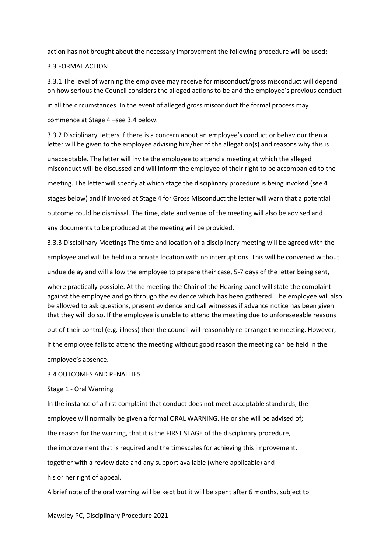action has not brought about the necessary improvement the following procedure will be used:

#### 3.3 FORMAL ACTION

3.3.1 The level of warning the employee may receive for misconduct/gross misconduct will depend on how serious the Council considers the alleged actions to be and the employee's previous conduct

in all the circumstances. In the event of alleged gross misconduct the formal process may

commence at Stage 4 –see 3.4 below.

3.3.2 Disciplinary Letters If there is a concern about an employee's conduct or behaviour then a letter will be given to the employee advising him/her of the allegation(s) and reasons why this is

unacceptable. The letter will invite the employee to attend a meeting at which the alleged misconduct will be discussed and will inform the employee of their right to be accompanied to the

meeting. The letter will specify at which stage the disciplinary procedure is being invoked (see 4

stages below) and if invoked at Stage 4 for Gross Misconduct the letter will warn that a potential

outcome could be dismissal. The time, date and venue of the meeting will also be advised and

any documents to be produced at the meeting will be provided.

3.3.3 Disciplinary Meetings The time and location of a disciplinary meeting will be agreed with the

employee and will be held in a private location with no interruptions. This will be convened without

undue delay and will allow the employee to prepare their case, 5-7 days of the letter being sent,

where practically possible. At the meeting the Chair of the Hearing panel will state the complaint against the employee and go through the evidence which has been gathered. The employee will also be allowed to ask questions, present evidence and call witnesses if advance notice has been given that they will do so. If the employee is unable to attend the meeting due to unforeseeable reasons

out of their control (e.g. illness) then the council will reasonably re-arrange the meeting. However,

if the employee fails to attend the meeting without good reason the meeting can be held in the

employee's absence.

3.4 OUTCOMES AND PENALTIES

Stage 1 - Oral Warning

In the instance of a first complaint that conduct does not meet acceptable standards, the employee will normally be given a formal ORAL WARNING. He or she will be advised of; the reason for the warning, that it is the FIRST STAGE of the disciplinary procedure,

the improvement that is required and the timescales for achieving this improvement,

together with a review date and any support available (where applicable) and

his or her right of appeal.

A brief note of the oral warning will be kept but it will be spent after 6 months, subject to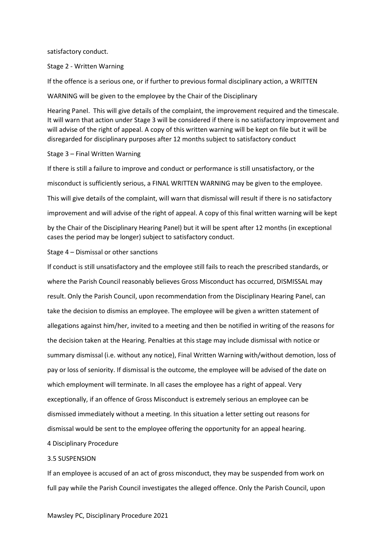satisfactory conduct.

Stage 2 - Written Warning

If the offence is a serious one, or if further to previous formal disciplinary action, a WRITTEN

WARNING will be given to the employee by the Chair of the Disciplinary

Hearing Panel. This will give details of the complaint, the improvement required and the timescale. It will warn that action under Stage 3 will be considered if there is no satisfactory improvement and will advise of the right of appeal. A copy of this written warning will be kept on file but it will be disregarded for disciplinary purposes after 12 months subject to satisfactory conduct

#### Stage 3 – Final Written Warning

If there is still a failure to improve and conduct or performance is still unsatisfactory, or the misconduct is sufficiently serious, a FINAL WRITTEN WARNING may be given to the employee. This will give details of the complaint, will warn that dismissal will result if there is no satisfactory improvement and will advise of the right of appeal. A copy of this final written warning will be kept by the Chair of the Disciplinary Hearing Panel) but it will be spent after 12 months (in exceptional cases the period may be longer) subject to satisfactory conduct.

Stage 4 – Dismissal or other sanctions

If conduct is still unsatisfactory and the employee still fails to reach the prescribed standards, or where the Parish Council reasonably believes Gross Misconduct has occurred, DISMISSAL may result. Only the Parish Council, upon recommendation from the Disciplinary Hearing Panel, can take the decision to dismiss an employee. The employee will be given a written statement of allegations against him/her, invited to a meeting and then be notified in writing of the reasons for the decision taken at the Hearing. Penalties at this stage may include dismissal with notice or summary dismissal (i.e. without any notice), Final Written Warning with/without demotion, loss of pay or loss of seniority. If dismissal is the outcome, the employee will be advised of the date on which employment will terminate. In all cases the employee has a right of appeal. Very exceptionally, if an offence of Gross Misconduct is extremely serious an employee can be dismissed immediately without a meeting. In this situation a letter setting out reasons for dismissal would be sent to the employee offering the opportunity for an appeal hearing. 4 Disciplinary Procedure

#### 3.5 SUSPENSION

If an employee is accused of an act of gross misconduct, they may be suspended from work on full pay while the Parish Council investigates the alleged offence. Only the Parish Council, upon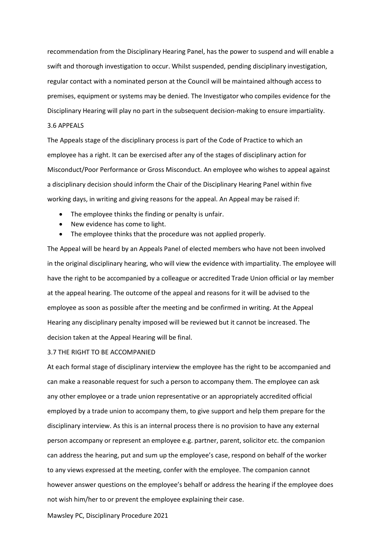recommendation from the Disciplinary Hearing Panel, has the power to suspend and will enable a swift and thorough investigation to occur. Whilst suspended, pending disciplinary investigation, regular contact with a nominated person at the Council will be maintained although access to premises, equipment or systems may be denied. The Investigator who compiles evidence for the Disciplinary Hearing will play no part in the subsequent decision-making to ensure impartiality.

## 3.6 APPEALS

The Appeals stage of the disciplinary process is part of the Code of Practice to which an employee has a right. It can be exercised after any of the stages of disciplinary action for Misconduct/Poor Performance or Gross Misconduct. An employee who wishes to appeal against a disciplinary decision should inform the Chair of the Disciplinary Hearing Panel within five working days, in writing and giving reasons for the appeal. An Appeal may be raised if:

- The employee thinks the finding or penalty is unfair.
- New evidence has come to light.
- The employee thinks that the procedure was not applied properly.

The Appeal will be heard by an Appeals Panel of elected members who have not been involved in the original disciplinary hearing, who will view the evidence with impartiality. The employee will have the right to be accompanied by a colleague or accredited Trade Union official or lay member at the appeal hearing. The outcome of the appeal and reasons for it will be advised to the employee as soon as possible after the meeting and be confirmed in writing. At the Appeal Hearing any disciplinary penalty imposed will be reviewed but it cannot be increased. The decision taken at the Appeal Hearing will be final.

#### 3.7 THE RIGHT TO BE ACCOMPANIED

At each formal stage of disciplinary interview the employee has the right to be accompanied and can make a reasonable request for such a person to accompany them. The employee can ask any other employee or a trade union representative or an appropriately accredited official employed by a trade union to accompany them, to give support and help them prepare for the disciplinary interview. As this is an internal process there is no provision to have any external person accompany or represent an employee e.g. partner, parent, solicitor etc. the companion can address the hearing, put and sum up the employee's case, respond on behalf of the worker to any views expressed at the meeting, confer with the employee. The companion cannot however answer questions on the employee's behalf or address the hearing if the employee does not wish him/her to or prevent the employee explaining their case.

Mawsley PC, Disciplinary Procedure 2021